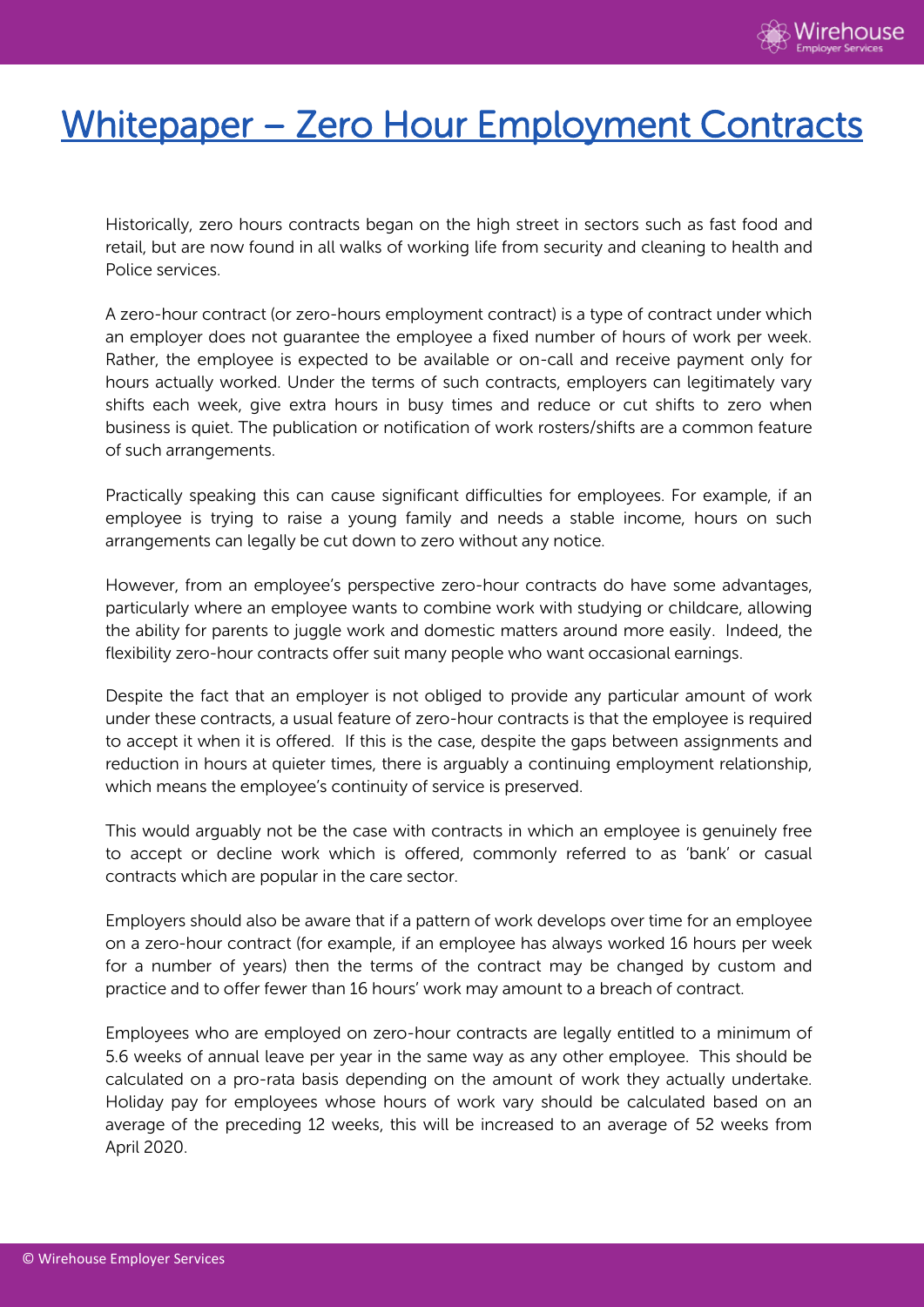

## Whitepaper – Zero Hour Employment Contracts

Historically, zero hours contracts began on the high street in sectors such as fast food and retail, but are now found in all walks of working life from security and cleaning to health and Police services.

A zero-hour contract (or zero-hours employment contract) is a type of contract under which an employer does not guarantee the employee a fixed number of hours of work per week. Rather, the employee is expected to be available or on-call and receive payment only for hours actually worked. Under the terms of such contracts, employers can legitimately vary shifts each week, give extra hours in busy times and reduce or cut shifts to zero when business is quiet. The publication or notification of work rosters/shifts are a common feature of such arrangements.

Practically speaking this can cause significant difficulties for employees. For example, if an employee is trying to raise a young family and needs a stable income, hours on such arrangements can legally be cut down to zero without any notice.

However, from an employee's perspective zero-hour contracts do have some advantages, particularly where an employee wants to combine work with studying or childcare, allowing the ability for parents to juggle work and domestic matters around more easily. Indeed, the flexibility zero-hour contracts offer suit many people who want occasional earnings.

Despite the fact that an employer is not obliged to provide any particular amount of work under these contracts, a usual feature of zero-hour contracts is that the employee is required to accept it when it is offered. If this is the case, despite the gaps between assignments and reduction in hours at quieter times, there is arguably a continuing employment relationship, which means the employee's continuity of service is preserved.

This would arguably not be the case with contracts in which an employee is genuinely free to accept or decline work which is offered, commonly referred to as 'bank' or casual contracts which are popular in the care sector.

Employers should also be aware that if a pattern of work develops over time for an employee on a zero-hour contract (for example, if an employee has always worked 16 hours per week for a number of years) then the terms of the contract may be changed by custom and practice and to offer fewer than 16 hours' work may amount to a breach of contract.

Employees who are employed on zero-hour contracts are legally entitled to a minimum of 5.6 weeks of annual leave per year in the same way as any other employee. This should be calculated on a pro-rata basis depending on the amount of work they actually undertake. Holiday pay for employees whose hours of work vary should be calculated based on an average of the preceding 12 weeks, this will be increased to an average of 52 weeks from April 2020.